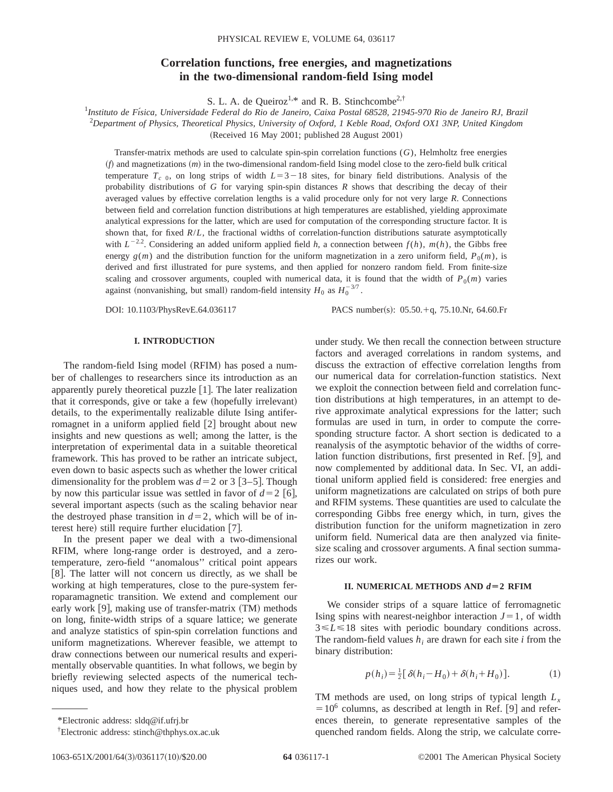# **Correlation functions, free energies, and magnetizations in the two-dimensional random-field Ising model**

S. L. A. de Queiroz<sup>1,\*</sup> and R. B. Stinchcombe<sup>2,†</sup>

1 *Instituto de Fı´sica, Universidade Federal do Rio de Janeiro, Caixa Postal 68528, 21945-970 Rio de Janeiro RJ, Brazil* 2 *Department of Physics, Theoretical Physics, University of Oxford, 1 Keble Road, Oxford OX1 3NP, United Kingdom*  $(Received 16 May 2001; published 28 August 2001)$ 

Transfer-matrix methods are used to calculate spin-spin correlation functions (*G*), Helmholtz free energies  $(f)$  and magnetizations  $(m)$  in the two-dimensional random-field Ising model close to the zero-field bulk critical temperature  $T_c$ <sub>0</sub>, on long strips of width  $L=3-18$  sites, for binary field distributions. Analysis of the probability distributions of *G* for varying spin-spin distances *R* shows that describing the decay of their averaged values by effective correlation lengths is a valid procedure only for not very large *R*. Connections between field and correlation function distributions at high temperatures are established, yielding approximate analytical expressions for the latter, which are used for computation of the corresponding structure factor. It is shown that, for fixed *R*/*L*, the fractional widths of correlation-function distributions saturate asymptotically with  $L^{-2.2}$ . Considering an added uniform applied field h, a connection between  $f(h)$ ,  $m(h)$ , the Gibbs free energy  $g(m)$  and the distribution function for the uniform magnetization in a zero uniform field,  $P_0(m)$ , is derived and first illustrated for pure systems, and then applied for nonzero random field. From finite-size scaling and crossover arguments, coupled with numerical data, it is found that the width of  $P_0(m)$  varies against (nonvanishing, but small) random-field intensity  $H_0$  as  $H_0^{-3/7}$ .

DOI: 10.1103/PhysRevE.64.036117 PACS number(s): 05.50.+q, 75.10.Nr, 64.60.Fr

## **I. INTRODUCTION**

The random-field Ising model (RFIM) has posed a number of challenges to researchers since its introduction as an apparently purely theoretical puzzle  $[1]$ . The later realization that it corresponds, give or take a few (hopefully irrelevant) details, to the experimentally realizable dilute Ising antiferromagnet in a uniform applied field  $[2]$  brought about new insights and new questions as well; among the latter, is the interpretation of experimental data in a suitable theoretical framework. This has proved to be rather an intricate subject, even down to basic aspects such as whether the lower critical dimensionality for the problem was  $d=2$  or 3 [3–5]. Though by now this particular issue was settled in favor of  $d=2$  [6], several important aspects (such as the scaling behavior near the destroyed phase transition in  $d=2$ , which will be of interest here) still require further elucidation  $[7]$ .

In the present paper we deal with a two-dimensional RFIM, where long-range order is destroyed, and a zerotemperature, zero-field ''anomalous'' critical point appears  $[8]$ . The latter will not concern us directly, as we shall be working at high temperatures, close to the pure-system ferroparamagnetic transition. We extend and complement our early work  $[9]$ , making use of transfer-matrix  $(TM)$  methods on long, finite-width strips of a square lattice; we generate and analyze statistics of spin-spin correlation functions and uniform magnetizations. Wherever feasible, we attempt to draw connections between our numerical results and experimentally observable quantities. In what follows, we begin by briefly reviewing selected aspects of the numerical techniques used, and how they relate to the physical problem under study. We then recall the connection between structure factors and averaged correlations in random systems, and discuss the extraction of effective correlation lengths from our numerical data for correlation-function statistics. Next we exploit the connection between field and correlation function distributions at high temperatures, in an attempt to derive approximate analytical expressions for the latter; such formulas are used in turn, in order to compute the corresponding structure factor. A short section is dedicated to a reanalysis of the asymptotic behavior of the widths of correlation function distributions, first presented in Ref. [9], and now complemented by additional data. In Sec. VI, an additional uniform applied field is considered: free energies and uniform magnetizations are calculated on strips of both pure and RFIM systems. These quantities are used to calculate the corresponding Gibbs free energy which, in turn, gives the distribution function for the uniform magnetization in zero uniform field. Numerical data are then analyzed via finitesize scaling and crossover arguments. A final section summarizes our work.

### **II. NUMERICAL METHODS AND**  $d=2$  RFIM

We consider strips of a square lattice of ferromagnetic Ising spins with nearest-neighbor interaction  $J=1$ , of width  $3 \le L \le 18$  sites with periodic boundary conditions across. The random-field values  $h_i$  are drawn for each site  $i$  from the binary distribution:

$$
p(h_i) = \frac{1}{2} [\delta(h_i - H_0) + \delta(h_i + H_0)].
$$
 (1)

TM methods are used, on long strips of typical length *Lx*  $=10^6$  columns, as described at length in Ref. [9] and references therein, to generate representative samples of the quenched random fields. Along the strip, we calculate corre-

<sup>\*</sup>Electronic address: sldq@if.ufrj.br

<sup>†</sup> Electronic address: stinch@thphys.ox.ac.uk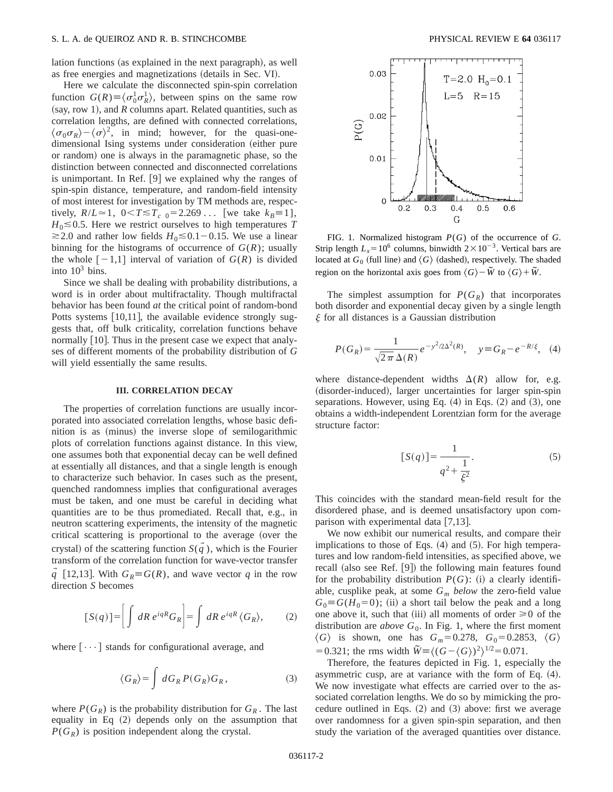lation functions (as explained in the next paragraph), as well as free energies and magnetizations (details in Sec. VI).

Here we calculate the disconnected spin-spin correlation function  $G(R) \equiv \langle \sigma_0^1 \sigma_R^1 \rangle$ , between spins on the same row (say, row 1), and  $R$  columns apart. Related quantities, such as correlation lengths, are defined with connected correlations,  $\langle \sigma_0 \sigma_R \rangle - \langle \sigma \rangle^2$ , in mind; however, for the quasi-onedimensional Ising systems under consideration (either pure or random) one is always in the paramagnetic phase, so the distinction between connected and disconnected correlations is unimportant. In Ref.  $[9]$  we explained why the ranges of spin-spin distance, temperature, and random-field intensity of most interest for investigation by TM methods are, respectively,  $R/L \approx 1$ ,  $0 < T \le T_c$  0=2.269... [we take  $k_B = 1$ ],  $H_0 \le 0.5$ . Here we restrict ourselves to high temperatures *T*  $\geq$ 2.0 and rather low fields *H*<sub>0</sub> $\leq$ 0.1-0.15. We use a linear binning for the histograms of occurrence of  $G(R)$ ; usually the whole  $[-1,1]$  interval of variation of  $G(R)$  is divided into  $10^3$  bins.

Since we shall be dealing with probability distributions, a word is in order about multifractality. Though multifractal behavior has been found *at* the critical point of random-bond Potts systems  $[10,11]$ , the available evidence strongly suggests that, off bulk criticality, correlation functions behave normally  $[10]$ . Thus in the present case we expect that analyses of different moments of the probability distribution of *G* will yield essentially the same results.

### **III. CORRELATION DECAY**

The properties of correlation functions are usually incorporated into associated correlation lengths, whose basic definition is as (minus) the inverse slope of semilogarithmic plots of correlation functions against distance. In this view, one assumes both that exponential decay can be well defined at essentially all distances, and that a single length is enough to characterize such behavior. In cases such as the present, quenched randomness implies that configurational averages must be taken, and one must be careful in deciding what quantities are to be thus promediated. Recall that, e.g., in neutron scattering experiments, the intensity of the magnetic critical scattering is proportional to the average (over the crystal) of the scattering function  $S(q)$ , which is the Fourier transform of the correlation function for wave-vector transfer *q* [12,13]. With  $G_R \equiv G(R)$ , and wave vector *q* in the row direction *S* becomes

$$
[S(q)] = \left[ \int dR \, e^{iqR} G_R \right] = \int dR \, e^{iqR} \, \langle G_R \rangle, \tag{2}
$$

where  $[\cdots]$  stands for configurational average, and

$$
\langle G_R \rangle = \int dG_R P(G_R) G_R, \qquad (3)
$$

where  $P(G_R)$  is the probability distribution for  $G_R$ . The last equality in Eq  $(2)$  depends only on the assumption that  $P(G_R)$  is position independent along the crystal.



FIG. 1. Normalized histogram *P*(*G*) of the occurrence of *G*. Strip length  $L_x=10^6$  columns, binwidth  $2\times10^{-3}$ . Vertical bars are located at  $G_0$  (full line) and  $\langle G \rangle$  (dashed), respectively. The shaded region on the horizontal axis goes from  $\langle G \rangle$  –  $\tilde{W}$  to  $\langle G \rangle$  +  $\tilde{W}$ .

The simplest assumption for  $P(G_R)$  that incorporates both disorder and exponential decay given by a single length  $\xi$  for all distances is a Gaussian distribution

$$
P(G_R) = \frac{1}{\sqrt{2\pi} \,\Delta(R)} \, e^{-y^2/2\Delta^2(R)}, \quad y \equiv G_R - e^{-R/\xi}, \tag{4}
$$

where distance-dependent widths  $\Delta(R)$  allow for, e.g. (disorder-induced), larger uncertainties for larger spin-spin separations. However, using Eq.  $(4)$  in Eqs.  $(2)$  and  $(3)$ , one obtains a width-independent Lorentzian form for the average structure factor:

$$
[S(q)] = \frac{1}{q^2 + \frac{1}{\xi^2}}.
$$
 (5)

This coincides with the standard mean-field result for the disordered phase, and is deemed unsatisfactory upon comparison with experimental data  $[7,13]$ .

We now exhibit our numerical results, and compare their implications to those of Eqs.  $(4)$  and  $(5)$ . For high temperatures and low random-field intensities, as specified above, we recall (also see Ref.  $[9]$ ) the following main features found for the probability distribution  $P(G)$ : (i) a clearly identifiable, cusplike peak, at some *Gm below* the zero-field value  $G_0 \equiv G(H_0=0)$ ; (ii) a short tail below the peak and a long one above it, such that (iii) all moments of order  $\geq 0$  of the distribution are *above*  $G_0$ . In Fig. 1, where the first moment  $\langle G \rangle$  is shown, one has  $G_m=0.278$ ,  $G_0=0.2853$ ,  $\langle G \rangle$ = 0.321; the rms width  $\widetilde{W} = \langle (G - \langle G \rangle)^2 \rangle^{1/2} = 0.071$ .

Therefore, the features depicted in Fig. 1, especially the asymmetric cusp, are at variance with the form of Eq.  $(4)$ . We now investigate what effects are carried over to the associated correlation lengths. We do so by mimicking the procedure outlined in Eqs.  $(2)$  and  $(3)$  above: first we average over randomness for a given spin-spin separation, and then study the variation of the averaged quantities over distance.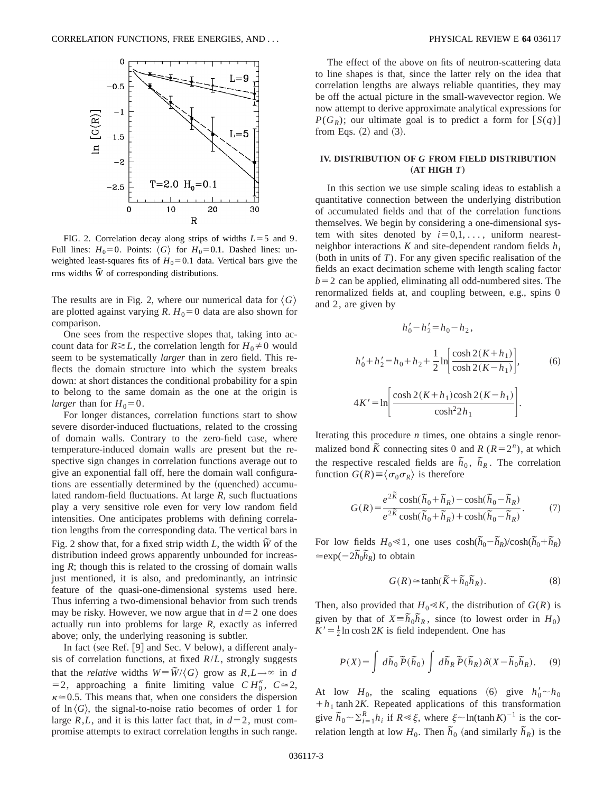

FIG. 2. Correlation decay along strips of widths  $L=5$  and 9. Full lines:  $H_0=0$ . Points:  $\langle G \rangle$  for  $H_0=0.1$ . Dashed lines: unweighted least-squares fits of  $H_0=0.1$  data. Vertical bars give the rms widths  $\tilde{W}$  of corresponding distributions.

The results are in Fig. 2, where our numerical data for  $\langle G \rangle$ are plotted against varying *R*.  $H_0 = 0$  data are also shown for comparison.

One sees from the respective slopes that, taking into account data for  $R \ge L$ , the correlation length for  $H_0 \ne 0$  would seem to be systematically *larger* than in zero field. This reflects the domain structure into which the system breaks down: at short distances the conditional probability for a spin to belong to the same domain as the one at the origin is *larger* than for  $H_0=0$ .

For longer distances, correlation functions start to show severe disorder-induced fluctuations, related to the crossing of domain walls. Contrary to the zero-field case, where temperature-induced domain walls are present but the respective sign changes in correlation functions average out to give an exponential fall off, here the domain wall configurations are essentially determined by the (quenched) accumulated random-field fluctuations. At large *R*, such fluctuations play a very sensitive role even for very low random field intensities. One anticipates problems with defining correlation lengths from the corresponding data. The vertical bars in Fig. 2 show that, for a fixed strip width  $L$ , the width  $\tilde{W}$  of the distribution indeed grows apparently unbounded for increasing *R*; though this is related to the crossing of domain walls just mentioned, it is also, and predominantly, an intrinsic feature of the quasi-one-dimensional systems used here. Thus inferring a two-dimensional behavior from such trends may be risky. However, we now argue that in  $d=2$  one does actually run into problems for large *R*, exactly as inferred above; only, the underlying reasoning is subtler.

In fact (see Ref.  $[9]$  and Sec. V below), a different analysis of correlation functions, at fixed *R*/*L*, strongly suggests that the *relative* widths  $W = \tilde{W}/\langle G \rangle$  grow as  $R, L \rightarrow \infty$  in *d*  $=$  2, approaching a finite limiting value *CH*<sup> $\kappa$ </sup>, *C* $\approx$  2,  $\kappa \approx 0.5$ . This means that, when one considers the dispersion of  $\ln \langle G \rangle$ , the signal-to-noise ratio becomes of order 1 for large *R*,*L*, and it is this latter fact that, in  $d=2$ , must compromise attempts to extract correlation lengths in such range.

The effect of the above on fits of neutron-scattering data to line shapes is that, since the latter rely on the idea that correlation lengths are always reliable quantities, they may be off the actual picture in the small-wavevector region. We now attempt to derive approximate analytical expressions for  $P(G_R)$ ; our ultimate goal is to predict a form for  $[S(q)]$ from Eqs.  $(2)$  and  $(3)$ .

### **IV. DISTRIBUTION OF** *G* **FROM FIELD DISTRIBUTION**  $(AT HIGH T)$

In this section we use simple scaling ideas to establish a quantitative connection between the underlying distribution of accumulated fields and that of the correlation functions themselves. We begin by considering a one-dimensional system with sites denoted by  $i=0,1,\ldots$ , uniform nearestneighbor interactions  $K$  and site-dependent random fields  $h_i$ (both in units of  $T$ ). For any given specific realisation of the fields an exact decimation scheme with length scaling factor  $b=2$  can be applied, eliminating all odd-numbered sites. The renormalized fields at, and coupling between, e.g., spins 0 and 2, are given by

$$
h'_0 - h'_2 = h_0 - h_2,
$$
  
\n
$$
h'_0 + h'_2 = h_0 + h_2 + \frac{1}{2} \ln \left[ \frac{\cosh 2(K + h_1)}{\cosh 2(K - h_1)} \right],
$$
\n
$$
4K' = \ln \left[ \frac{\cosh 2(K + h_1)\cosh 2(K - h_1)}{\cosh^2 2h_1} \right].
$$
\n(6)

Iterating this procedure *n* times, one obtains a single renormalized bond  $\tilde{K}$  connecting sites 0 and  $R$  ( $R=2^n$ ), at which the respective rescaled fields are  $\bar{h}_0$ ,  $\bar{h}_R$ . The correlation function  $G(R) \equiv \langle \sigma_0 \sigma_R \rangle$  is therefore

$$
G(R) = \frac{e^{2\tilde{K}}\cosh(\tilde{h}_0 + \tilde{h}_R) - \cosh(\tilde{h}_0 - \tilde{h}_R)}{e^{2\tilde{K}}\cosh(\tilde{h}_0 + \tilde{h}_R) + \cosh(\tilde{h}_0 - \tilde{h}_R)}.
$$
(7)

For low fields  $H_0 \ll 1$ , one uses  $cosh(\tilde{h}_0 - \tilde{h}_R)/cosh(\tilde{h}_0 + \tilde{h}_R)$  $\approx \exp(-2\tilde{h}_0 \tilde{h}_R)$  to obtain

$$
G(R) \approx \tanh(\widetilde{K} + \widetilde{h}_0 \widetilde{h}_R). \tag{8}
$$

Then, also provided that  $H_0 \ll K$ , the distribution of  $G(R)$  is given by that of  $X = \overline{h}_0 \overline{h}_R$ , since (to lowest order in  $H_0$ )  $K' = \frac{1}{2} \ln \cosh 2K$  is field independent. One has

$$
P(X) = \int d\tilde{h}_0 \,\tilde{P}(\tilde{h}_0) \int d\tilde{h}_R \,\tilde{P}(\tilde{h}_R) \,\delta(X - \tilde{h}_0 \tilde{h}_R). \tag{9}
$$

At low  $H_0$ , the scaling equations (6) give  $h'_0 \sim h_0$  $+h_1$  tanh 2*K*. Repeated applications of this transformation give  $\bar{h}_0 \sim \sum_{i=1}^R h_i$  if  $R \ll \xi$ , where  $\xi \sim \ln(\tanh K)^{-1}$  is the correlation length at low  $H_0$ . Then  $\tilde{h}_0$  (and similarly  $\tilde{h}_R$ ) is the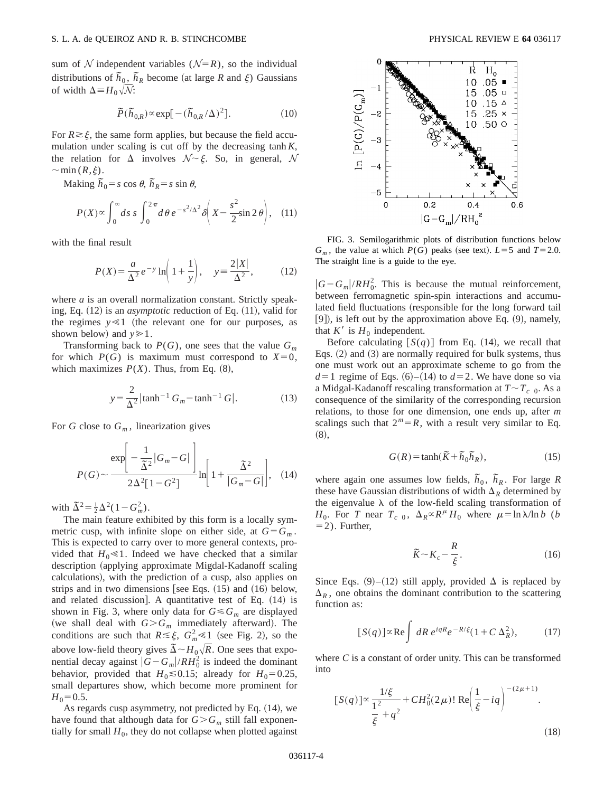sum of N independent variables  $(N=R)$ , so the individual distributions of  $\tilde{h}_0$ ,  $\tilde{h}_R$  become (at large *R* and  $\xi$ ) Gaussians of width  $\Delta = H_0 \sqrt{\mathcal{N}}$ :

$$
\tilde{P}(\tilde{h}_{0,R}) \propto \exp[-(\tilde{h}_{0,R}/\Delta)^2].
$$
 (10)

For  $R \ge \xi$ , the same form applies, but because the field accumulation under scaling is cut off by the decreasing tanh *K*, the relation for  $\Delta$  involves  $\mathcal{N} \sim \xi$ . So, in general, N  $\sim$ min  $(R,\xi)$ .

Making  $\tilde{h}_0 = s \cos \theta$ ,  $\tilde{h}_R = s \sin \theta$ ,

$$
P(X) \propto \int_0^\infty ds \, s \int_0^{2\pi} d\theta \, e^{-s^2/\Delta^2} \delta\left(X - \frac{s^2}{2}\sin 2\theta\right), \quad (11)
$$

with the final result

$$
P(X) = \frac{a}{\Delta^2} e^{-y} \ln\left(1 + \frac{1}{y}\right), \quad y = \frac{2|X|}{\Delta^2}, \quad (12)
$$

where *a* is an overall normalization constant. Strictly speaking, Eq.  $(12)$  is an *asymptotic* reduction of Eq.  $(11)$ , valid for the regimes  $y \ll 1$  (the relevant one for our purposes, as shown below) and  $y \ge 1$ .

Transforming back to  $P(G)$ , one sees that the value  $G_m$ for which  $P(G)$  is maximum must correspond to  $X=0$ , which maximizes  $P(X)$ . Thus, from Eq.  $(8)$ ,

$$
y = \frac{2}{\Delta^2} |\tanh^{-1} G_m - \tanh^{-1} G|.
$$
 (13)

For *G* close to  $G_m$ , linearization gives

$$
P(G) \sim \frac{\exp\left[-\frac{1}{\tilde{\Delta}^2}|G_m - G|\right]}{2\Delta^2[1 - G^2]} \ln\left[1 + \frac{\tilde{\Delta}^2}{|G_m - G|}\right], \quad (14)
$$

with  $\tilde{\Delta}^2 = \frac{1}{2} \Delta^2 (1 - G_m^2)$ .

The main feature exhibited by this form is a locally symmetric cusp, with infinite slope on either side, at  $G = G_m$ . This is expected to carry over to more general contexts, provided that  $H_0 \ll 1$ . Indeed we have checked that a similar description (applying approximate Migdal-Kadanoff scaling calculations), with the prediction of a cusp, also applies on strips and in two dimensions [see Eqs.  $(15)$  and  $(16)$  below, and related discussion]. A quantitative test of Eq.  $(14)$  is shown in Fig. 3, where only data for  $G \leq G_m$  are displayed (we shall deal with  $G > G_m$  immediately afterward). The conditions are such that  $R \le \xi$ ,  $G_m^2 \le 1$  (see Fig. 2), so the above low-field theory gives  $\overline{\Delta} \sim H_0 \sqrt{R}$ . One sees that exponential decay against  $|G - G_m| / RH_0^2$  is indeed the dominant behavior, provided that  $H_0 \le 0.15$ ; already for  $H_0 = 0.25$ , small departures show, which become more prominent for  $H_0$ =0.5.

As regards cusp asymmetry, not predicted by Eq.  $(14)$ , we have found that although data for  $G > G_m$  still fall exponentially for small  $H_0$ , they do not collapse when plotted against



FIG. 3. Semilogarithmic plots of distribution functions below  $G_m$ , the value at which  $P(G)$  peaks (see text).  $L=5$  and  $T=2.0$ . The straight line is a guide to the eye.

 $|G - G_m| / RH_0^2$ . This is because the mutual reinforcement, between ferromagnetic spin-spin interactions and accumulated field fluctuations (responsible for the long forward tail  $[9]$ ), is left out by the approximation above Eq.  $(9)$ , namely, that  $K'$  is  $H_0$  independent.

Before calculating  $[S(q)]$  from Eq. (14), we recall that Eqs.  $(2)$  and  $(3)$  are normally required for bulk systems, thus one must work out an approximate scheme to go from the  $d=1$  regime of Eqs.  $(6)$ – $(14)$  to  $d=2$ . We have done so via a Midgal-Kadanoff rescaling transformation at  $T \sim T_{c}$  0. As a consequence of the similarity of the corresponding recursion relations, to those for one dimension, one ends up, after *m* scalings such that  $2^m = R$ , with a result very similar to Eq.  $(8),$ 

$$
G(R) = \tanh(\widetilde{K} + \widetilde{h}_0 \widetilde{h}_R),\tag{15}
$$

where again one assumes low fields,  $\tilde{h}_0$ ,  $\tilde{h}_R$ . For large *R* these have Gaussian distributions of width  $\Delta_R$  determined by the eigenvalue  $\lambda$  of the low-field scaling transformation of *H*<sub>0</sub>. For *T* near  $T_c$  0,  $\Delta_R \propto R^{\mu} H_0$  where  $\mu = \ln \lambda / \ln b$  (*b*  $=$  2). Further,

$$
\tilde{K} \sim K_c - \frac{R}{\xi}.\tag{16}
$$

Since Eqs. (9)–(12) still apply, provided  $\Delta$  is replaced by  $\Delta_R$ , one obtains the dominant contribution to the scattering function as:

$$
[S(q)] \propto \text{Re} \int dR \, e^{iqR} e^{-R/\xi} (1 + C \, \Delta_R^2), \tag{17}
$$

where *C* is a constant of order unity. This can be transformed into

$$
[S(q)] \propto \frac{1/\xi}{\frac{1^2}{\xi} + q^2} + CH_0^2(2\mu)! \operatorname{Re} \left(\frac{1}{\xi} - iq\right)^{-(2\mu+1)}.
$$
\n(18)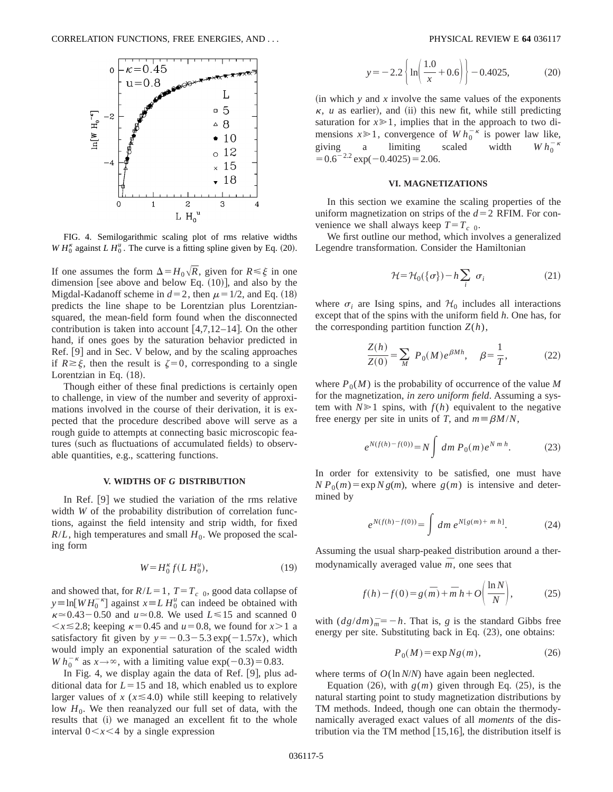

FIG. 4. Semilogarithmic scaling plot of rms relative widths  $WH_0^{\kappa}$  against  $L H_0^{\mu}$ . The curve is a fitting spline given by Eq. (20).

If one assumes the form  $\Delta = H_0 \sqrt{R}$ , given for  $R \le \xi$  in one dimension [see above and below Eq.  $(10)$ ], and also by the Migdal-Kadanoff scheme in  $d=2$ , then  $\mu=1/2$ , and Eq. (18) predicts the line shape to be Lorentzian plus Lorentziansquared, the mean-field form found when the disconnected contribution is taken into account  $[4,7,12-14]$ . On the other hand, if ones goes by the saturation behavior predicted in Ref. [9] and in Sec. V below, and by the scaling approaches if  $R \ge \xi$ , then the result is  $\zeta = 0$ , corresponding to a single Lorentzian in Eq.  $(18)$ .

Though either of these final predictions is certainly open to challenge, in view of the number and severity of approximations involved in the course of their derivation, it is expected that the procedure described above will serve as a rough guide to attempts at connecting basic microscopic features (such as fluctuations of accumulated fields) to observable quantities, e.g., scattering functions.

### **V. WIDTHS OF** *G* **DISTRIBUTION**

In Ref.  $[9]$  we studied the variation of the rms relative width *W* of the probability distribution of correlation functions, against the field intensity and strip width, for fixed  $R/L$ , high temperatures and small  $H_0$ . We proposed the scaling form

$$
W = H_0^{\kappa} f(L H_0^u), \tag{19}
$$

and showed that, for  $R/L = 1$ ,  $T = T_c$  0, good data collapse of  $y = \ln[W H_0^{-\kappa}]$  against  $x = L H_0^u$  can indeed be obtained with  $\kappa \approx 0.43-0.50$  and  $u \approx 0.8$ . We used  $L \le 15$  and scanned 0  $\langle x \le 2.8; \text{ keeping } \kappa = 0.45 \text{ and } u = 0.8, \text{ we found for } x > 1 \text{ a}$ satisfactory fit given by  $y = -0.3 - 5.3 \exp(-1.57x)$ , which would imply an exponential saturation of the scaled width *W*  $h_0^{-\kappa}$  as  $x \rightarrow \infty$ , with a limiting value exp(-0.3)=0.83.

In Fig. 4, we display again the data of Ref.  $[9]$ , plus additional data for  $L=15$  and 18, which enabled us to explore larger values of  $x$  ( $x \le 4.0$ ) while still keeping to relatively low  $H_0$ . We then reanalyzed our full set of data, with the results that (i) we managed an excellent fit to the whole interval  $0 < x < 4$  by a single expression

$$
y = -2.2 \left\{ \ln \left( \frac{1.0}{x} + 0.6 \right) \right\} - 0.4025, \tag{20}
$$

 $(in which y and x involve the same values of the exponents)$  $\kappa$ , *u* as earlier), and (ii) this new fit, while still predicting saturation for  $x \ge 1$ , implies that in the approach to two dimensions  $x \ge 1$ , convergence of  $W h_0^{-\kappa}$  is power law like, giving a limiting scaled width  $W h_0^ W h_0^{-1}$  $=0.6^{-2.2}$  exp( $-0.4025$ ) $=2.06$ .

#### **VI. MAGNETIZATIONS**

In this section we examine the scaling properties of the uniform magnetization on strips of the  $d=2$  RFIM. For convenience we shall always keep  $T=T_c$  0.

We first outline our method, which involves a generalized Legendre transformation. Consider the Hamiltonian

$$
\mathcal{H} = \mathcal{H}_0(\{\sigma\}) - h \sum_i \sigma_i \tag{21}
$$

where  $\sigma_i$  are Ising spins, and  $\mathcal{H}_0$  includes all interactions except that of the spins with the uniform field *h*. One has, for the corresponding partition function  $Z(h)$ ,

$$
\frac{Z(h)}{Z(0)} = \sum_{M} P_0(M) e^{\beta M h}, \quad \beta = \frac{1}{T},
$$
 (22)

where  $P_0(M)$  is the probability of occurrence of the value M for the magnetization, *in zero uniform field*. Assuming a system with  $N \ge 1$  spins, with  $f(h)$  equivalent to the negative free energy per site in units of *T*, and  $m \equiv \beta M/N$ ,

$$
e^{N(f(h)-f(0))} = N \int dm P_0(m) e^{N m h}.
$$
 (23)

In order for extensivity to be satisfied, one must have  $N P_0(m) = \exp N g(m)$ , where  $g(m)$  is intensive and determined by

$$
e^{N(f(h)-f(0))} = \int dm \, e^{N[g(m)+m\,h]}.\tag{24}
$$

Assuming the usual sharp-peaked distribution around a thermodynamically averaged value  $\overline{m}$ , one sees that

$$
f(h) - f(0) = g(\overline{m}) + \overline{m} h + O\left(\frac{\ln N}{N}\right),
$$
 (25)

with  $\left(\frac{dg}{dm}\right)_m = -h$ . That is, *g* is the standard Gibbs free energy per site. Substituting back in Eq.  $(23)$ , one obtains:

$$
P_0(M) = \exp Ng(m),\tag{26}
$$

where terms of  $O(\ln N/N)$  have again been neglected.

Equation  $(26)$ , with  $g(m)$  given through Eq.  $(25)$ , is the natural starting point to study magnetization distributions by TM methods. Indeed, though one can obtain the thermodynamically averaged exact values of all *moments* of the distribution via the TM method  $[15,16]$ , the distribution itself is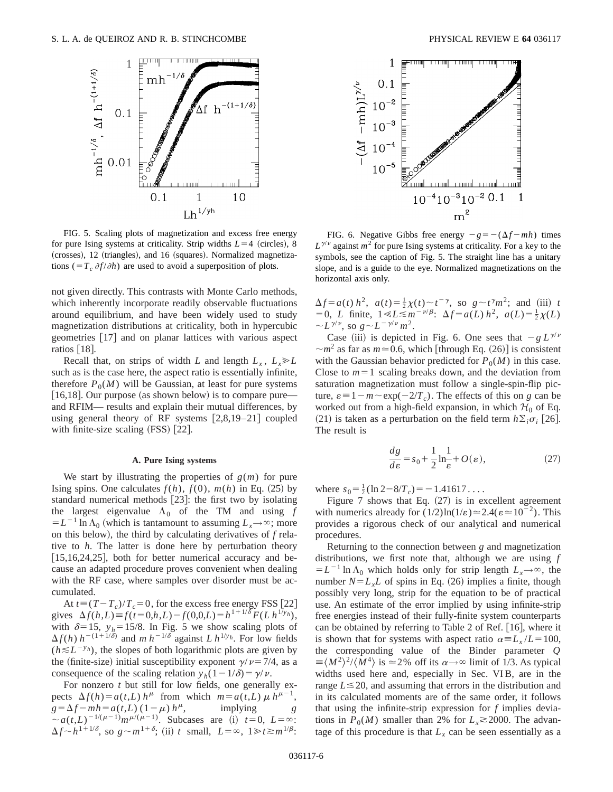

FIG. 5. Scaling plots of magnetization and excess free energy for pure Ising systems at criticality. Strip widths  $L=4$  (circles), 8  $(crosses)$ , 12  $(triangles)$ , and 16  $(squares)$ . Normalized magnetizations ( $=T_c \partial f / \partial h$ ) are used to avoid a superposition of plots.

not given directly. This contrasts with Monte Carlo methods, which inherently incorporate readily observable fluctuations around equilibrium, and have been widely used to study magnetization distributions at criticality, both in hypercubic geometries  $\lceil 17 \rceil$  and on planar lattices with various aspect ratios  $|18|$ .

Recall that, on strips of width *L* and length  $L_x$ ,  $L_x \ge L$ such as is the case here, the aspect ratio is essentially infinite, therefore  $P_0(M)$  will be Gaussian, at least for pure systems [16,18]. Our purpose (as shown below) is to compare pure and RFIM— results and explain their mutual differences, by using general theory of RF systems  $[2,8,19-21]$  coupled with finite-size scaling  $(FSS)$   $[22]$ .

### **A. Pure Ising systems**

We start by illustrating the properties of  $g(m)$  for pure Ising spins. One calculates  $f(h)$ ,  $f(0)$ ,  $m(h)$  in Eq. (25) by standard numerical methods [23]: the first two by isolating the largest eigenvalue  $\Lambda_0$  of the TM and using  $f$  $=L^{-1} \ln \Lambda_0$  (which is tantamount to assuming  $L_x \rightarrow \infty$ ; more on this below), the third by calculating derivatives of  $f$  relative to *h*. The latter is done here by perturbation theory  $[15,16,24,25]$ , both for better numerical accuracy and because an adapted procedure proves convenient when dealing with the RF case, where samples over disorder must be accumulated.

At  $t \equiv (T - T_c)/T_c = 0$ , for the excess free energy FSS [22] gives  $\Delta f(h, L) \equiv f(t=0, h, L) - f(0, 0, L) = h^{1+1/\delta} F(L h^{1/\gamma} h)$ , with  $\delta$ =15,  $y_h$ =15/8. In Fig. 5 we show scaling plots of  $\Delta f(h)$  *h*<sup>-(1+1/ $\delta$ ) and *m h*<sup>-1/ $\delta$ </sup> against *L h*<sup>1/y</sup>*h*. For low fields</sup>  $(h \le L^{-y_h})$ , the slopes of both logarithmic plots are given by the (finite-size) initial susceptibility exponent  $\gamma/\nu$ =7/4, as a consequence of the scaling relation  $y_h(1-1/\delta) = \gamma/\nu$ .

For nonzero *t* but still for low fields, one generally expects  $\Delta f(h) = a(t, L) h^{\mu}$  from which  $m = a(t, L) \mu h^{\mu-1}$ ,  $g = \Delta f - mh = a(t, L) (1 - \mu) h^{\mu}$ , implying *g*  $\sim a(t,L)^{-1/(\mu-1)}m^{\mu/(\mu-1)}$ . Subcases are (i)  $t=0, L=\infty$ :  $\Delta f \sim h^{1+1/\delta}$ , so  $g \sim m^{1+\delta}$ ; (ii) *t* small,  $L = \infty$ ,  $1 \ge t \ge m^{1/\beta}$ :



FIG. 6. Negative Gibbs free energy  $-g = -(\Delta f - mh)$  times  $L^{\gamma/\nu}$  against  $m^2$  for pure Ising systems at criticality. For a key to the symbols, see the caption of Fig. 5. The straight line has a unitary slope, and is a guide to the eye. Normalized magnetizations on the horizontal axis only.

 $\Delta f = a(t) h^2$ ,  $a(t) = \frac{1}{2} \chi(t) \sim t^{-\gamma}$ , so  $g \sim t^{\gamma} m^2$ ; and (iii) *t*  $= 0$ , *L* finite,  $1 \le L \le m^{-\nu/\beta}$ :  $\Delta f = a(L) h^2$ ,  $a(L) = \frac{1}{2}\chi(L)$  $\sim L^{\gamma/\nu}$ , so  $g \sim L^{-\gamma/\nu} m^2$ .

Case (iii) is depicted in Fig. 6. One sees that  $-g L^{\gamma/\nu}$  $\sim m^2$  as far as  $m \approx 0.6$ , which [through Eq. (26)] is consistent with the Gaussian behavior predicted for  $P_0(M)$  in this case. Close to  $m=1$  scaling breaks down, and the deviation from saturation magnetization must follow a single-spin-flip picture,  $\varepsilon = 1 - m \sim \exp(-2/T_c)$ . The effects of this on *g* can be worked out from a high-field expansion, in which  $H_0$  of Eq. (21) is taken as a perturbation on the field term  $h\Sigma_i \sigma_i$  [26]. The result is

$$
\frac{dg}{d\varepsilon} = s_0 + \frac{1}{2} \ln \frac{1}{\varepsilon} + O(\varepsilon),\tag{27}
$$

where  $s_0 = \frac{1}{2} (\ln 2 - 8/T_c) = -1.41617...$ 

Figure 7 shows that Eq.  $(27)$  is in excellent agreement with numerics already for  $(1/2)\ln(1/\epsilon) \approx 2.4(\epsilon \approx 10^{-2})$ . This provides a rigorous check of our analytical and numerical procedures.

Returning to the connection between *g* and magnetization distributions, we first note that, although we are using *f*  $=L^{-1}$  ln  $\Lambda_0$  which holds only for strip length  $L_x \rightarrow \infty$ , the number  $N = L<sub>x</sub>L$  of spins in Eq. (26) implies a finite, though possibly very long, strip for the equation to be of practical use. An estimate of the error implied by using infinite-strip free energies instead of their fully-finite system counterparts can be obtained by referring to Table 2 of Ref.  $[16]$ , where it is shown that for systems with aspect ratio  $\alpha = L_x / L = 100$ , the corresponding value of the Binder parameter *Q*  $\equiv \langle M^2 \rangle^2 / \langle M^4 \rangle$  is  $\simeq 2\%$  off its  $\alpha \rightarrow \infty$  limit of 1/3. As typical widths used here and, especially in Sec. VI B, are in the range  $L \le 20$ , and assuming that errors in the distribution and in its calculated moments are of the same order, it follows that using the infinite-strip expression for *f* implies deviations in  $P_0(M)$  smaller than 2% for  $L_x \approx 2000$ . The advantage of this procedure is that  $L<sub>x</sub>$  can be seen essentially as a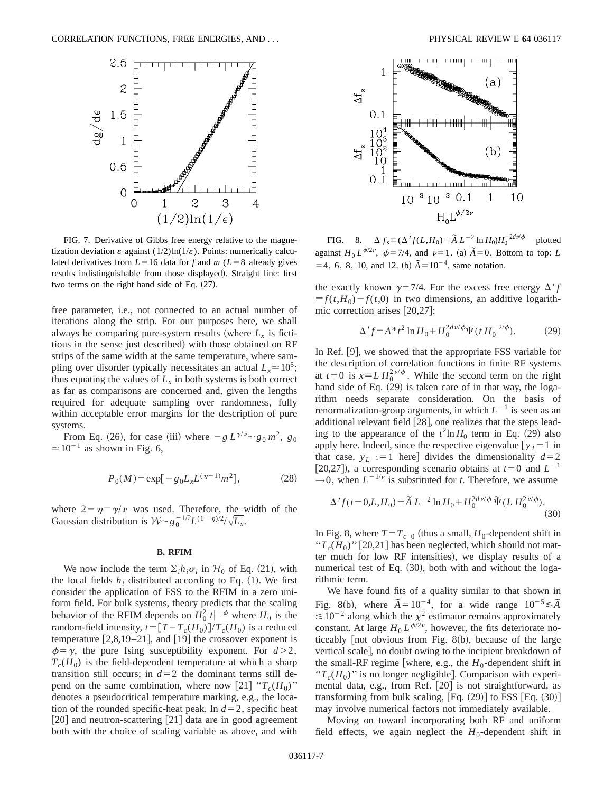

FIG. 7. Derivative of Gibbs free energy relative to the magnetization deviation  $\varepsilon$  against  $(1/2)$ ln $(1/\varepsilon)$ . Points: numerically calculated derivatives from  $L=16$  data for *f* and *m* ( $L=8$  already gives results indistinguishable from those displayed). Straight line: first two terms on the right hand side of Eq.  $(27)$ .

free parameter, i.e., not connected to an actual number of iterations along the strip. For our purposes here, we shall always be comparing pure-system results (where  $L<sub>x</sub>$  is fictitious in the sense just described) with those obtained on RF strips of the same width at the same temperature, where sampling over disorder typically necessitates an actual  $L<sub>x</sub> \approx 10^5$ ; thus equating the values of  $L<sub>x</sub>$  in both systems is both correct as far as comparisons are concerned and, given the lengths required for adequate sampling over randomness, fully within acceptable error margins for the description of pure systems.

From Eq. (26), for case (iii) where  $-g L^{\gamma/\nu} \sim g_0 m^2$ ,  $g_0$  $\approx$  10<sup>-1</sup> as shown in Fig. 6,

$$
P_0(M) = \exp[-g_0 L_x L^{(\eta - 1)} m^2],\tag{28}
$$

where  $2 - \eta = \gamma/\nu$  was used. Therefore, the width of the Gaussian distribution is  $W \sim g_0^{-1/2} L^{(1-\eta)/2}/\sqrt{L_x}$ .

### **B. RFIM**

We now include the term  $\Sigma_i h_i \sigma_i$  in  $\mathcal{H}_0$  of Eq. (21), with the local fields  $h_i$ , distributed according to Eq.  $(1)$ . We first consider the application of FSS to the RFIM in a zero uniform field. For bulk systems, theory predicts that the scaling behavior of the RFIM depends on  $H_0^2 |t|^{-\phi}$  where  $H_0$  is the random-field intensity,  $t = [T - T_c(H_0)]/T_c(H_0)$  is a reduced temperature  $[2,8,19-21]$ , and  $[19]$  the crossover exponent is  $\phi = \gamma$ , the pure Ising susceptibility exponent. For  $d > 2$ ,  $T_c(H_0)$  is the field-dependent temperature at which a sharp transition still occurs; in  $d=2$  the dominant terms still depend on the same combination, where now [21] " $T_c(H_0)$ " denotes a pseudocritical temperature marking, e.g., the location of the rounded specific-heat peak. In  $d=2$ , specific heat  $\lceil 20 \rceil$  and neutron-scattering  $\lceil 21 \rceil$  data are in good agreement both with the choice of scaling variable as above, and with



FIG. 8.  $\Delta f_s \equiv (\Delta' f(L, H_0) - \tilde{A} L^{-2} \ln H_0) H_0^{-2d\nu/\phi}$  plotted against  $H_0 L^{\phi/2\nu}$ ,  $\phi = 7/4$ , and  $\nu = 1$ . (a)  $\tilde{A} = 0$ . Bottom to top: *L*  $=$  4, 6, 8, 10, and 12. (b)  $\tilde{A}$  = 10<sup>-4</sup>, same notation.

the exactly known  $\gamma = 7/4$ . For the excess free energy  $\Delta' f$  $\equiv f(t, H_0) - f(t, 0)$  in two dimensions, an additive logarithmic correction arises  $[20,27]$ :

$$
\Delta' f = A^* t^2 \ln H_0 + H_0^{2d\nu/\phi} \Psi(t H_0^{-2/\phi}).
$$
 (29)

In Ref. [9], we showed that the appropriate FSS variable for the description of correlation functions in finite RF systems at  $t=0$  is  $x = L H_0^{2\nu/\phi}$ . While the second term on the right hand side of Eq.  $(29)$  is taken care of in that way, the logarithm needs separate consideration. On the basis of renormalization-group arguments, in which  $L^{-1}$  is seen as an additional relevant field  $[28]$ , one realizes that the steps leading to the appearance of the  $t^2$ ln  $H_0$  term in Eq. (29) also apply here. Indeed, since the respective eigenvalue  $[y_T=1$  in that case,  $y_{L-1}=1$  here divides the dimensionality  $d=2$ [20,27]), a corresponding scenario obtains at  $t=0$  and  $L^{-1}$  $\rightarrow$  0, when  $L^{-1/\nu}$  is substituted for *t*. Therefore, we assume

$$
\Delta' f(t=0,L,H_0) = \tilde{A} L^{-2} \ln H_0 + H_0^{2d\nu/\phi} \, \Psi(L \, H_0^{2\nu/\phi}). \tag{30}
$$

In Fig. 8, where  $T=T_c$  0 (thus a small,  $H_0$ -dependent shift in " $T_c(H_0)$ " [20,21] has been neglected, which should not matter much for low RF intensities), we display results of a numerical test of Eq.  $(30)$ , both with and without the logarithmic term.

We have found fits of a quality similar to that shown in Fig. 8(b), where  $\tilde{A} = 10^{-4}$ , for a wide range  $10^{-5} \leq \tilde{A}$  $\leq 10^{-2}$  along which the  $\chi^2$  estimator remains approximately constant. At large  $H_0 L^{\phi/2\nu}$ , however, the fits deteriorate noticeably  $[$ not obvious from Fig. 8 $(b)$ , because of the large vertical scale], no doubt owing to the incipient breakdown of the small-RF regime [where, e.g., the  $H_0$ -dependent shift in " $T_c(H_0)$ " is no longer negligible]. Comparison with experimental data, e.g., from Ref.  $[20]$  is not straightforward, as transforming from bulk scaling,  $[Eq. (29)]$  to FSS  $[Eq. (30)]$ may involve numerical factors not immediately available.

Moving on toward incorporating both RF and uniform field effects, we again neglect the  $H_0$ -dependent shift in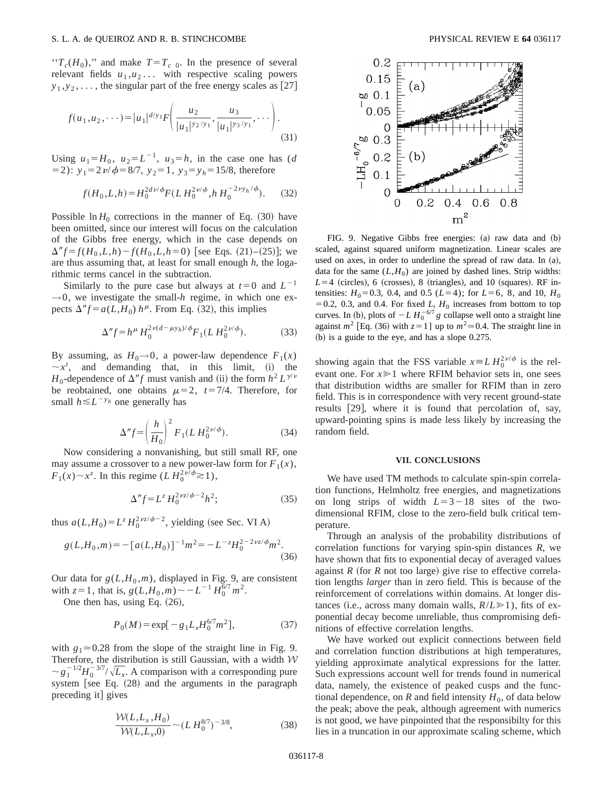#### S. L. A. de QUEIROZ AND R. B. STINCHCOMBE PHYSICAL REVIEW E **64** 036117

" $T_c(H_0)$ ," and make  $T=T_c$  0. In the presence of several relevant fields  $u_1, u_2, \ldots$  with respective scaling powers  $y_1, y_2, \ldots$ , the singular part of the free energy scales as [27]

$$
f(u_1, u_2, \cdots) = |u_1|^{d/y_1} F\left(\frac{u_2}{|u_1|^{y_2/y_1}}, \frac{u_3}{|u_1|^{y_3/y_1}}, \cdots\right).
$$
\n(31)

Using  $u_1 = H_0$ ,  $u_2 = L^{-1}$ ,  $u_3 = h$ , in the case one has (*d*  $(52)$ :  $y_1 = 2 \nu / \phi = 8/7$ ,  $y_2 = 1$ ,  $y_3 = y_h = 15/8$ , therefore

$$
f(H_0, L, h) = H_0^{2d\nu/\phi} F(L H_0^{2\nu/\phi}, h H_0^{-2\nu y_h/\phi}).
$$
 (32)

Possible  $\ln H_0$  corrections in the manner of Eq. (30) have been omitted, since our interest will focus on the calculation of the Gibbs free energy, which in the case depends on  $\Delta'' f = f(H_0, L, h) - f(H_0, L, h=0)$  [see Eqs. (21)–(25)]; we are thus assuming that, at least for small enough *h*, the logarithmic terms cancel in the subtraction.

Similarly to the pure case but always at  $t=0$  and  $L^{-1}$  $\rightarrow$ 0, we investigate the small-*h* regime, in which one expects  $\Delta''f = a(L, H_0) h^{\mu}$ . From Eq. (32), this implies

$$
\Delta'' f = h^{\mu} H_0^{2\nu(d - \mu y_h)/\phi} F_1(L H_0^{2\nu/\phi}).
$$
 (33)

By assuming, as  $H_0 \rightarrow 0$ , a power-law dependence  $F_1(x)$  $\sim x^t$ , and demanding that, in this limit, (i) the *H*<sub>0</sub>-dependence of  $\Delta'' f$  must vanish and (ii) the form  $h^2 L^{\gamma/\nu}$ be reobtained, one obtains  $\mu=2$ ,  $t=7/4$ . Therefore, for small  $h \le L^{-y_h}$  one generally has

$$
\Delta'' f = \left(\frac{h}{H_0}\right)^2 F_1(L H_0^{2\nu/\phi}).
$$
\n(34)

Now considering a nonvanishing, but still small RF, one may assume a crossover to a new power-law form for  $F_1(x)$ ,  $F_1(x) \sim x^z$ . In this regime  $(L H_0^{2\nu/\phi} \ge 1)$ ,

$$
\Delta'' f = L^z H_0^{2\nu z/\phi - 2} h^2; \tag{35}
$$

thus  $a(L, H_0) = L^z H_0^{2\nu z/\phi - 2}$ , yielding (see Sec. VI A)

$$
g(L, H_0, m) = -[a(L, H_0)]^{-1}m^2 = -L^{-z}H_0^{2-2\nu z/\phi}m^2.
$$
\n(36)

Our data for  $g(L, H_0, m)$ , displayed in Fig. 9, are consistent with  $z=1$ , that is,  $g(L,H_0,m) \sim -L^{-1} H_0^{6/7} m^2$ .

One then has, using Eq.  $(26)$ ,

$$
P_0(M) = \exp[-g_1 L_x H_0^{6/7} m^2],\tag{37}
$$

with  $g_1 \approx 0.28$  from the slope of the straight line in Fig. 9. Therefore, the distribution is still Gaussian, with a width  $W$  $\sim g_1^{-1/2} H_0^{-3/7} / \sqrt{L_x}$ . A comparison with a corresponding pure system [see Eq.  $(28)$  and the arguments in the paragraph preceding it] gives

$$
\frac{\mathcal{W}(L, L_x, H_0)}{\mathcal{W}(L, L_x, 0)} \sim (L H_0^{8/7})^{-3/8},\tag{38}
$$



FIG. 9. Negative Gibbs free energies:  $(a)$  raw data and  $(b)$ scaled, against squared uniform magnetization. Linear scales are used on axes, in order to underline the spread of raw data. In  $(a)$ , data for the same  $(L, H_0)$  are joined by dashed lines. Strip widths:  $L=4$  (circles), 6 (crosses), 8 (triangles), and 10 (squares). RF intensities:  $H_0 = 0.3$ , 0.4, and 0.5 ( $L = 4$ ); for  $L = 6$ , 8, and 10,  $H_0$  $=0.2$ , 0.3, and 0.4. For fixed *L*,  $H_0$  increases from bottom to top curves. In (b), plots of  $-L H_0^{-6/7} g$  collapse well onto a straight line against  $m^2$  [Eq. (36) with  $z=1$ ] up to  $m^2 \approx 0.4$ . The straight line in  $(b)$  is a guide to the eye, and has a slope 0.275.

showing again that the FSS variable  $x = L H_0^{2\nu/\phi}$  is the relevant one. For  $x \ge 1$  where RFIM behavior sets in, one sees that distribution widths are smaller for RFIM than in zero field. This is in correspondence with very recent ground-state results  $[29]$ , where it is found that percolation of, say, upward-pointing spins is made less likely by increasing the random field.

### **VII. CONCLUSIONS**

We have used TM methods to calculate spin-spin correlation functions, Helmholtz free energies, and magnetizations on long strips of width  $L=3-18$  sites of the twodimensional RFIM, close to the zero-field bulk critical temperature.

Through an analysis of the probability distributions of correlation functions for varying spin-spin distances *R*, we have shown that fits to exponential decay of averaged values against  $R$  (for  $R$  not too large) give rise to effective correlation lengths *larger* than in zero field. This is because of the reinforcement of correlations within domains. At longer distances (i.e., across many domain walls,  $R/L \ge 1$ ), fits of exponential decay become unreliable, thus compromising definitions of effective correlation lengths.

We have worked out explicit connections between field and correlation function distributions at high temperatures, yielding approximate analytical expressions for the latter. Such expressions account well for trends found in numerical data, namely, the existence of peaked cusps and the functional dependence, on  $R$  and field intensity  $H_0$ , of data below the peak; above the peak, although agreement with numerics is not good, we have pinpointed that the responsibilty for this lies in a truncation in our approximate scaling scheme, which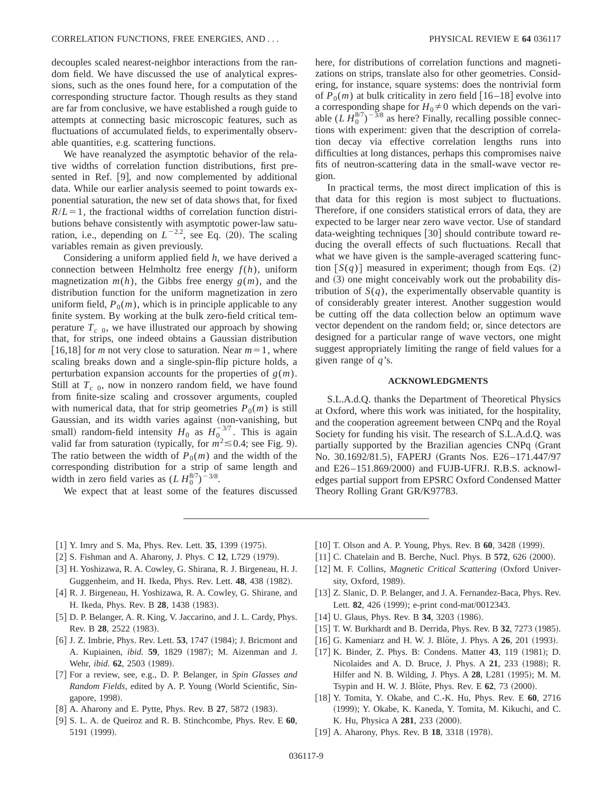decouples scaled nearest-neighbor interactions from the random field. We have discussed the use of analytical expressions, such as the ones found here, for a computation of the corresponding structure factor. Though results as they stand are far from conclusive, we have established a rough guide to attempts at connecting basic microscopic features, such as fluctuations of accumulated fields, to experimentally observable quantities, e.g. scattering functions.

We have reanalyzed the asymptotic behavior of the relative widths of correlation function distributions, first presented in Ref.  $[9]$ , and now complemented by additional data. While our earlier analysis seemed to point towards exponential saturation, the new set of data shows that, for fixed  $R/L=1$ , the fractional widths of correlation function distributions behave consistently with asymptotic power-law saturation, i.e., depending on  $L^{-2.2}$ , see Eq. (20). The scaling variables remain as given previously.

Considering a uniform applied field *h*, we have derived a connection between Helmholtz free energy *f*(*h*), uniform magnetization  $m(h)$ , the Gibbs free energy  $g(m)$ , and the distribution function for the uniform magnetization in zero uniform field,  $P_0(m)$ , which is in principle applicable to any finite system. By working at the bulk zero-field critical temperature  $T_{c}$  <sub>0</sub>, we have illustrated our approach by showing that, for strips, one indeed obtains a Gaussian distribution [16,18] for *m* not very close to saturation. Near  $m=1$ , where scaling breaks down and a single-spin-flip picture holds, a perturbation expansion accounts for the properties of *g*(*m*). Still at  $T_{c}$ <sub>0</sub>, now in nonzero random field, we have found from finite-size scaling and crossover arguments, coupled with numerical data, that for strip geometries  $P_0(m)$  is still Gaussian, and its width varies against (non-vanishing, but small) random-field intensity  $H_0$  as  $H_0^{-3/7}$ . This is again valid far from saturation (typically, for  $m^2 \le 0.4$ ; see Fig. 9). The ratio between the width of  $P_0(m)$  and the width of the corresponding distribution for a strip of same length and width in zero field varies as  $(L H_0^{8/7})^{-3/8}$ .

We expect that at least some of the features discussed

here, for distributions of correlation functions and magnetizations on strips, translate also for other geometries. Considering, for instance, square systems: does the nontrivial form of  $P_0(m)$  at bulk criticality in zero field  $[16–18]$  evolve into a corresponding shape for  $H_0 \neq 0$  which depends on the variable  $(L \, H_0^{8/7})^{-3/8}$  as here? Finally, recalling possible connections with experiment: given that the description of correlation decay via effective correlation lengths runs into difficulties at long distances, perhaps this compromises naive fits of neutron-scattering data in the small-wave vector region.

In practical terms, the most direct implication of this is that data for this region is most subject to fluctuations. Therefore, if one considers statistical errors of data, they are expected to be larger near zero wave vector. Use of standard data-weighting techniques  $|30|$  should contribute toward reducing the overall effects of such fluctuations. Recall that what we have given is the sample-averaged scattering function  $[S(q)]$  measured in experiment; though from Eqs.  $(2)$ and  $(3)$  one might conceivably work out the probability distribution of  $S(q)$ , the experimentally observable quantity is of considerably greater interest. Another suggestion would be cutting off the data collection below an optimum wave vector dependent on the random field; or, since detectors are designed for a particular range of wave vectors, one might suggest appropriately limiting the range of field values for a given range of *q*'s.

### **ACKNOWLEDGMENTS**

S.L.A.d.Q. thanks the Department of Theoretical Physics at Oxford, where this work was initiated, for the hospitality, and the cooperation agreement between CNPq and the Royal Society for funding his visit. The research of S.L.A.d.Q. was partially supported by the Brazilian agencies CNPq (Grant No. 30.1692/81.5), FAPERJ (Grants Nos. E26–171.447/97 and  $E26-151.869/2000$  and FUJB-UFRJ. R.B.S. acknowledges partial support from EPSRC Oxford Condensed Matter Theory Rolling Grant GR/K97783.

- [1] Y. Imry and S. Ma, Phys. Rev. Lett. **35**, 1399 (1975).
- $[2]$  S. Fishman and A. Aharony, J. Phys. C 12, L729  $(1979)$ .
- [3] H. Yoshizawa, R. A. Cowley, G. Shirana, R. J. Birgeneau, H. J. Guggenheim, and H. Ikeda, Phys. Rev. Lett. 48, 438 (1982).
- [4] R. J. Birgeneau, H. Yoshizawa, R. A. Cowley, G. Shirane, and H. Ikeda, Phys. Rev. B 28, 1438 (1983).
- [5] D. P. Belanger, A. R. King, V. Jaccarino, and J. L. Cardy, Phys. Rev. B 28, 2522 (1983).
- [6] J. Z. Imbrie, Phys. Rev. Lett. **53**, 1747 (1984); J. Bricmont and A. Kupiainen, *ibid.* **59**, 1829 (1987); M. Aizenman and J. Wehr, *ibid.* **62**, 2503 (1989).
- @7# For a review, see, e.g., D. P. Belanger, in *Spin Glasses and Random Fields*, edited by A. P. Young (World Scientific, Singapore, 1998).
- [8] A. Aharony and E. Pytte, Phys. Rev. B **27**, 5872 (1983).
- @9# S. L. A. de Queiroz and R. B. Stinchcombe, Phys. Rev. E **60**, 5191 (1999).
- [10] T. Olson and A. P. Young, Phys. Rev. B 60, 3428 (1999).
- $[11]$  C. Chatelain and B. Berche, Nucl. Phys. B **572**, 626  $(2000)$ .
- [12] M. F. Collins, *Magnetic Critical Scattering* (Oxford University, Oxford, 1989).
- [13] Z. Slanic, D. P. Belanger, and J. A. Fernandez-Baca, Phys. Rev. Lett. 82, 426 (1999); e-print cond-mat/0012343.
- $[14]$  U. Glaus, Phys. Rev. B 34, 3203  $(1986)$ .
- [15] T. W. Burkhardt and B. Derrida, Phys. Rev. B 32, 7273 (1985).
- $[16]$  G. Kameniarz and H. W. J. Blote, J. Phys. A  $26$ , 201 (1993).
- [17] K. Binder, Z. Phys. B: Condens. Matter 43, 119 (1981); D. Nicolaides and A. D. Bruce, J. Phys. A 21, 233 (1988); R. Hilfer and N. B. Wilding, J. Phys. A **28**, L281 (1995); M. M. Tsypin and H. W. J. Blöte, Phys. Rev. E 62, 73 (2000).
- @18# Y. Tomita, Y. Okabe, and C.-K. Hu, Phys. Rev. E **60**, 2716 ~1999!; Y. Okabe, K. Kaneda, Y. Tomita, M. Kikuchi, and C. K. Hu, Physica A **281**, 233 (2000).
- $[19]$  A. Aharony, Phys. Rev. B  $18$ , 3318  $(1978)$ .